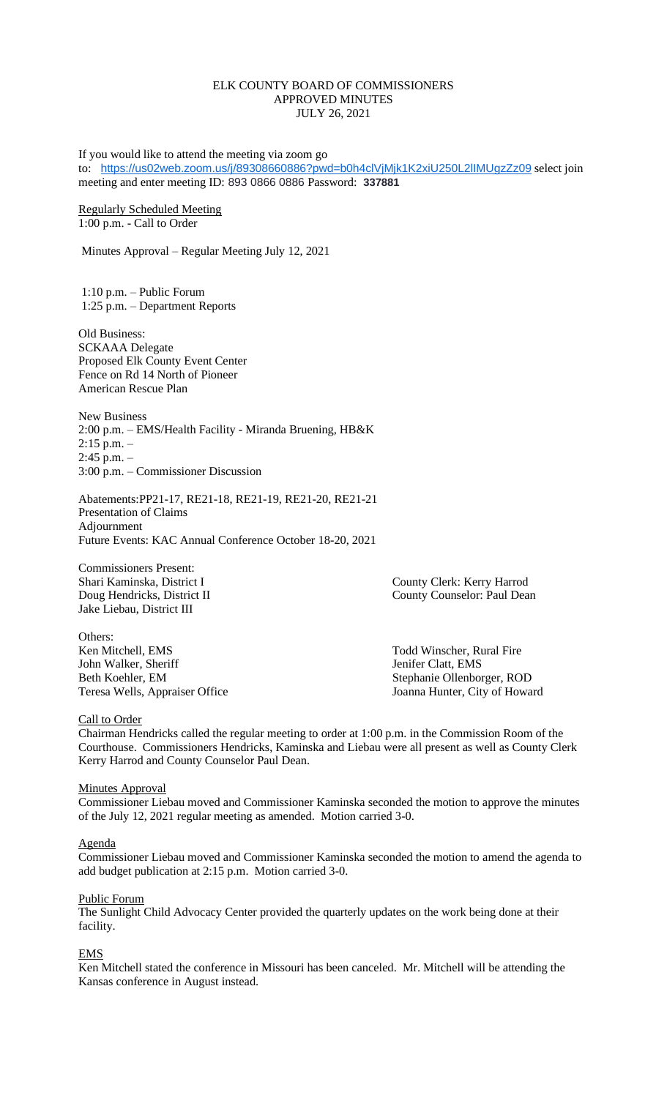## ELK COUNTY BOARD OF COMMISSIONERS APPROVED MINUTES JULY 26, 2021

If you would like to attend the meeting via zoom go to: <https://us02web.zoom.us/j/89308660886?pwd=b0h4clVjMjk1K2xiU250L2lIMUgzZz09> select join meeting and enter meeting ID: 893 0866 0886 Password: **337881**

### Regularly Scheduled Meeting 1:00 p.m. - Call to Order

Minutes Approval – Regular Meeting July 12, 2021

1:10 p.m. – Public Forum 1:25 p.m. – Department Reports

Old Business: SCKAAA Delegate Proposed Elk County Event Center Fence on Rd 14 North of Pioneer American Rescue Plan

New Business 2:00 p.m. – EMS/Health Facility - Miranda Bruening, HB&K 2:15 p.m. –  $2:45$  p.m.  $-$ 3:00 p.m. – Commissioner Discussion

Abatements:PP21-17, RE21-18, RE21-19, RE21-20, RE21-21 Presentation of Claims Adjournment Future Events: KAC Annual Conference October 18-20, 2021

Commissioners Present: Jake Liebau, District III

Others:<br>Ken Mitchell, EMS John Walker, Sheriff **Jenifer Clatt, EMS** Beth Koehler, EM Stephanie Ollenborger, ROD Teresa Wells, Appraiser Office Joanna Hunter, City of Howard

Shari Kaminska, District I County Clerk: Kerry Harrod Doug Hendricks, District II County Counselor: Paul Dean

Todd Winscher, Rural Fire

### Call to Order

Chairman Hendricks called the regular meeting to order at 1:00 p.m. in the Commission Room of the Courthouse. Commissioners Hendricks, Kaminska and Liebau were all present as well as County Clerk Kerry Harrod and County Counselor Paul Dean.

**Minutes Approval** 

Commissioner Liebau moved and Commissioner Kaminska seconded the motion to approve the minutes of the July 12, 2021 regular meeting as amended. Motion carried 3-0.

#### Agenda

Commissioner Liebau moved and Commissioner Kaminska seconded the motion to amend the agenda to add budget publication at 2:15 p.m. Motion carried 3-0.

#### Public Forum

The Sunlight Child Advocacy Center provided the quarterly updates on the work being done at their facility.

## EMS

Ken Mitchell stated the conference in Missouri has been canceled. Mr. Mitchell will be attending the Kansas conference in August instead.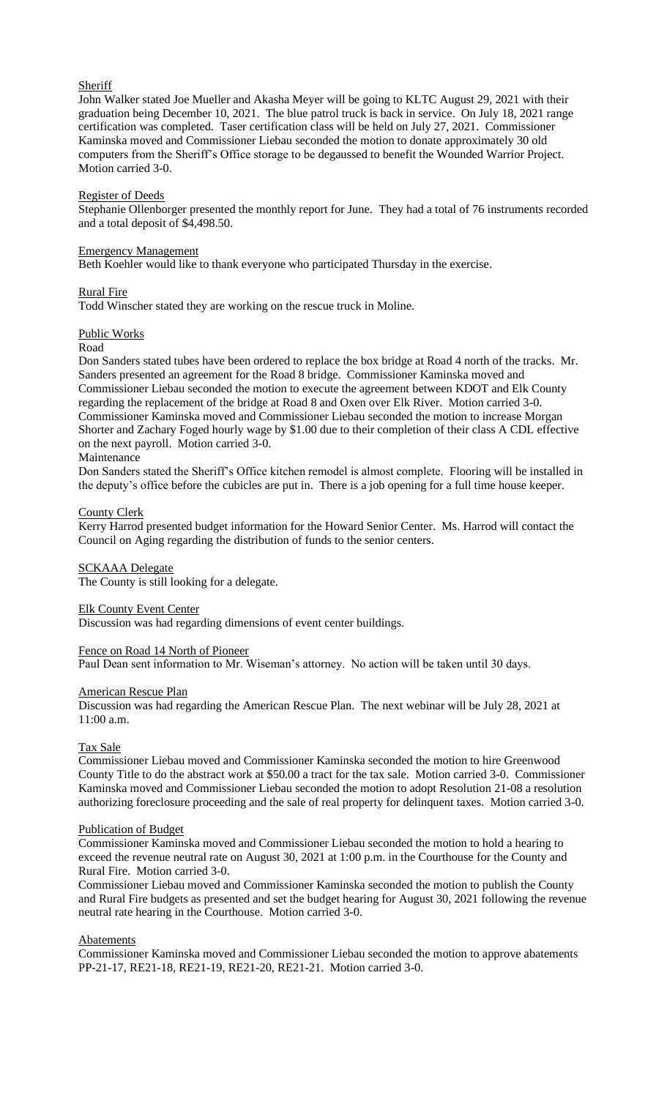# **Sheriff**

John Walker stated Joe Mueller and Akasha Meyer will be going to KLTC August 29, 2021 with their graduation being December 10, 2021. The blue patrol truck is back in service. On July 18, 2021 range certification was completed. Taser certification class will be held on July 27, 2021. Commissioner Kaminska moved and Commissioner Liebau seconded the motion to donate approximately 30 old computers from the Sheriff's Office storage to be degaussed to benefit the Wounded Warrior Project. Motion carried 3-0.

## Register of Deeds

Stephanie Ollenborger presented the monthly report for June. They had a total of 76 instruments recorded and a total deposit of \$4,498.50.

### Emergency Management

Beth Koehler would like to thank everyone who participated Thursday in the exercise.

### Rural Fire

Todd Winscher stated they are working on the rescue truck in Moline.

### Public Works

#### Road

Don Sanders stated tubes have been ordered to replace the box bridge at Road 4 north of the tracks. Mr. Sanders presented an agreement for the Road 8 bridge. Commissioner Kaminska moved and Commissioner Liebau seconded the motion to execute the agreement between KDOT and Elk County regarding the replacement of the bridge at Road 8 and Oxen over Elk River. Motion carried 3-0. Commissioner Kaminska moved and Commissioner Liebau seconded the motion to increase Morgan Shorter and Zachary Foged hourly wage by \$1.00 due to their completion of their class A CDL effective on the next payroll. Motion carried 3-0.

### Maintenance

Don Sanders stated the Sheriff's Office kitchen remodel is almost complete. Flooring will be installed in the deputy's office before the cubicles are put in. There is a job opening for a full time house keeper.

## County Clerk

Kerry Harrod presented budget information for the Howard Senior Center. Ms. Harrod will contact the Council on Aging regarding the distribution of funds to the senior centers.

## SCKAAA Delegate

The County is still looking for a delegate.

## Elk County Event Center

Discussion was had regarding dimensions of event center buildings.

### Fence on Road 14 North of Pioneer

Paul Dean sent information to Mr. Wiseman's attorney. No action will be taken until 30 days.

#### American Rescue Plan

Discussion was had regarding the American Rescue Plan. The next webinar will be July 28, 2021 at 11:00 a.m.

## Tax Sale

Commissioner Liebau moved and Commissioner Kaminska seconded the motion to hire Greenwood County Title to do the abstract work at \$50.00 a tract for the tax sale. Motion carried 3-0. Commissioner Kaminska moved and Commissioner Liebau seconded the motion to adopt Resolution 21-08 a resolution authorizing foreclosure proceeding and the sale of real property for delinquent taxes. Motion carried 3-0.

#### Publication of Budget

Commissioner Kaminska moved and Commissioner Liebau seconded the motion to hold a hearing to exceed the revenue neutral rate on August 30, 2021 at 1:00 p.m. in the Courthouse for the County and Rural Fire. Motion carried 3-0.

Commissioner Liebau moved and Commissioner Kaminska seconded the motion to publish the County and Rural Fire budgets as presented and set the budget hearing for August 30, 2021 following the revenue neutral rate hearing in the Courthouse. Motion carried 3-0.

## **Abatements**

Commissioner Kaminska moved and Commissioner Liebau seconded the motion to approve abatements PP-21-17, RE21-18, RE21-19, RE21-20, RE21-21. Motion carried 3-0.